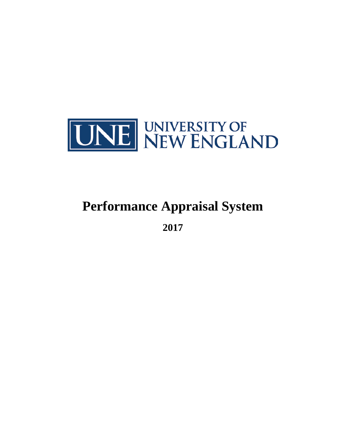

# **Performance Appraisal System**

**2017**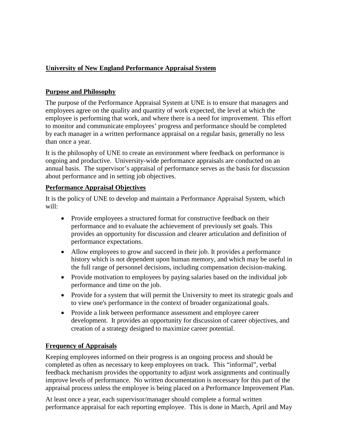# **University of New England Performance Appraisal System**

# **Purpose and Philosophy**

The purpose of the Performance Appraisal System at UNE is to ensure that managers and employees agree on the quality and quantity of work expected, the level at which the employee is performing that work, and where there is a need for improvement. This effort to monitor and communicate employees' progress and performance should be completed by each manager in a written performance appraisal on a regular basis, generally no less than once a year.

It is the philosophy of UNE to create an environment where feedback on performance is ongoing and productive. University-wide performance appraisals are conducted on an annual basis. The supervisor's appraisal of performance serves as the basis for discussion about performance and in setting job objectives.

#### **Performance Appraisal Objectives**

It is the policy of UNE to develop and maintain a Performance Appraisal System, which will:

- Provide employees a structured format for constructive feedback on their performance and to evaluate the achievement of previously set goals. This provides an opportunity for discussion and clearer articulation and definition of performance expectations.
- Allow employees to grow and succeed in their job. It provides a performance history which is not dependent upon human memory, and which may be useful in the full range of personnel decisions, including compensation decision-making.
- Provide motivation to employees by paying salaries based on the individual job performance and time on the job.
- Provide for a system that will permit the University to meet its strategic goals and to view one's performance in the context of broader organizational goals.
- Provide a link between performance assessment and employee career development. It provides an opportunity for discussion of career objectives, and creation of a strategy designed to maximize career potential.

# **Frequency of Appraisals**

Keeping employees informed on their progress is an ongoing process and should be completed as often as necessary to keep employees on track. This "informal", verbal feedback mechanism provides the opportunity to adjust work assignments and continually improve levels of performance. No written documentation is necessary for this part of the appraisal process unless the employee is being placed on a Performance Improvement Plan.

At least once a year, each supervisor/manager should complete a formal written performance appraisal for each reporting employee. This is done in March, April and May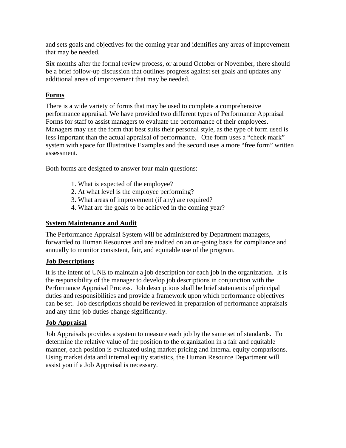and sets goals and objectives for the coming year and identifies any areas of improvement that may be needed.

Six months after the formal review process, or around October or November, there should be a brief follow-up discussion that outlines progress against set goals and updates any additional areas of improvement that may be needed.

# **Forms**

There is a wide variety of forms that may be used to complete a comprehensive performance appraisal. We have provided two different types of Performance Appraisal Forms for staff to assist managers to evaluate the performance of their employees. Managers may use the form that best suits their personal style, as the type of form used is less important than the actual appraisal of performance. One form uses a "check mark" system with space for Illustrative Examples and the second uses a more "free form" written assessment.

Both forms are designed to answer four main questions:

- 1. What is expected of the employee?
- 2. At what level is the employee performing?
- 3. What areas of improvement (if any) are required?
- 4. What are the goals to be achieved in the coming year?

## **System Maintenance and Audit**

The Performance Appraisal System will be administered by Department managers, forwarded to Human Resources and are audited on an on-going basis for compliance and annually to monitor consistent, fair, and equitable use of the program.

#### **Job Descriptions**

It is the intent of UNE to maintain a job description for each job in the organization. It is the responsibility of the manager to develop job descriptions in conjunction with the Performance Appraisal Process. Job descriptions shall be brief statements of principal duties and responsibilities and provide a framework upon which performance objectives can be set. Job descriptions should be reviewed in preparation of performance appraisals and any time job duties change significantly.

#### **Job Appraisal**

Job Appraisals provides a system to measure each job by the same set of standards. To determine the relative value of the position to the organization in a fair and equitable manner, each position is evaluated using market pricing and internal equity comparisons. Using market data and internal equity statistics, the Human Resource Department will assist you if a Job Appraisal is necessary.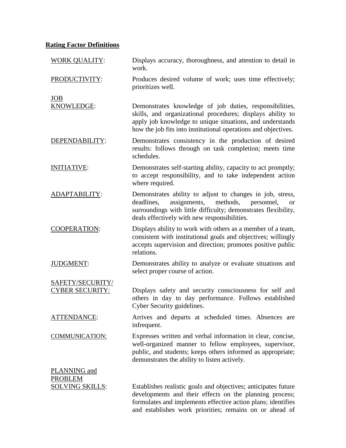# **Rating Factor Definitions**

| <b>WORK QUALITY:</b>                                     | Displays accuracy, thoroughness, and attention to detail in<br>work.                                                                                                                                                                                 |
|----------------------------------------------------------|------------------------------------------------------------------------------------------------------------------------------------------------------------------------------------------------------------------------------------------------------|
| PRODUCTIVITY:                                            | Produces desired volume of work; uses time effectively;<br>prioritizes well.                                                                                                                                                                         |
| JOB<br>KNOWLEDGE:                                        | Demonstrates knowledge of job duties, responsibilities,<br>skills, and organizational procedures; displays ability to<br>apply job knowledge to unique situations, and understands<br>how the job fits into institutional operations and objectives. |
| DEPENDABILITY:                                           | Demonstrates consistency in the production of desired<br>results: follows through on task completion; meets time<br>schedules.                                                                                                                       |
| INITIATIVE:                                              | Demonstrates self-starting ability, capacity to act promptly;<br>to accept responsibility, and to take independent action<br>where required.                                                                                                         |
| ADAPTABILITY:                                            | Demonstrates ability to adjust to changes in job, stress,<br>deadlines,<br>assignments,<br>methods,<br>personnel,<br><b>or</b><br>surroundings with little difficulty; demonstrates flexibility,<br>deals effectively with new responsibilities.     |
| <b>COOPERATION:</b>                                      | Displays ability to work with others as a member of a team,<br>consistent with institutional goals and objectives; willingly<br>accepts supervision and direction; promotes positive public<br>relations.                                            |
| <b>JUDGMENT:</b>                                         | Demonstrates ability to analyze or evaluate situations and<br>select proper course of action.                                                                                                                                                        |
| SAFETY/SECURITY/<br><b>CYBER SECURITY:</b>               | Displays safety and security consciousness for self and<br>others in day to day performance. Follows established<br>Cyber Security guidelines.                                                                                                       |
| <b>ATTENDANCE:</b>                                       | Arrives and departs at scheduled times. Absences are<br>infrequent.                                                                                                                                                                                  |
| <b>COMMUNICATION:</b>                                    | Expresses written and verbal information in clear, concise,<br>well-organized manner to fellow employees, supervisor,<br>public, and students; keeps others informed as appropriate;<br>demonstrates the ability to listen actively.                 |
| PLANNING and<br><b>PROBLEM</b><br><u>SOLVING SKILLS:</u> | Establishes realistic goals and objectives; anticipates future<br>developments and their effects on the planning process;<br>formulates and implements effective action plans; identifies<br>and establishes work priorities; remains on or ahead of |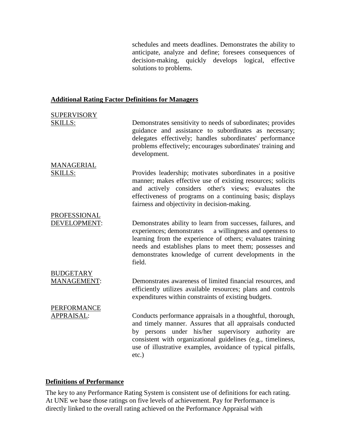schedules and meets deadlines. Demonstrates the ability to anticipate, analyze and define; foresees consequences of decision-making, quickly develops logical, effective solutions to problems.

#### **Additional Rating Factor Definitions for Managers**

| <b>SUPERVISORY</b><br><b>SKILLS:</b> | Demonstrates sensitivity to needs of subordinates; provides<br>guidance and assistance to subordinates as necessary;<br>delegates effectively; handles subordinates' performance<br>problems effectively; encourages subordinates' training and<br>development.                                                          |
|--------------------------------------|--------------------------------------------------------------------------------------------------------------------------------------------------------------------------------------------------------------------------------------------------------------------------------------------------------------------------|
| MANAGERIAL<br><b>SKILLS:</b>         | Provides leadership; motivates subordinates in a positive<br>manner; makes effective use of existing resources; solicits<br>and actively considers other's views; evaluates the<br>effectiveness of programs on a continuing basis; displays<br>fairness and objectivity in decision-making.                             |
| PROFESSIONAL<br>DEVELOPMENT:         | Demonstrates ability to learn from successes, failures, and<br>experiences; demonstrates<br>a willingness and openness to<br>learning from the experience of others; evaluates training<br>needs and establishes plans to meet them; possesses and<br>demonstrates knowledge of current developments in the<br>field.    |
| <b>BUDGETARY</b><br>MANAGEMENT:      | Demonstrates awareness of limited financial resources, and<br>efficiently utilizes available resources; plans and controls<br>expenditures within constraints of existing budgets.                                                                                                                                       |
| PERFORMANCE<br>APPRAISAL:            | Conducts performance appraisals in a thoughtful, thorough,<br>and timely manner. Assures that all appraisals conducted<br>by persons under his/her supervisory authority are<br>consistent with organizational guidelines (e.g., timeliness,<br>use of illustrative examples, avoidance of typical pitfalls,<br>$etc.$ ) |

#### **Definitions of Performance**

The key to any Performance Rating System is consistent use of definitions for each rating. At UNE we base those ratings on five levels of achievement. Pay for Performance is directly linked to the overall rating achieved on the Performance Appraisal with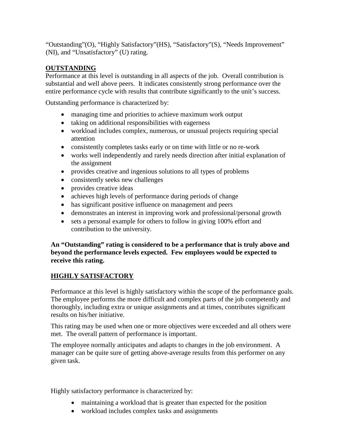"Outstanding"(O), "Highly Satisfactory"(HS), "Satisfactory"(S), "Needs Improvement" (NI), and "Unsatisfactory" (U) rating.

# **OUTSTANDING**

Performance at this level is outstanding in all aspects of the job. Overall contribution is substantial and well above peers. It indicates consistently strong performance over the entire performance cycle with results that contribute significantly to the unit's success.

Outstanding performance is characterized by:

- managing time and priorities to achieve maximum work output
- taking on additional responsibilities with eagerness
- workload includes complex, numerous, or unusual projects requiring special attention
- consistently completes tasks early or on time with little or no re-work
- works well independently and rarely needs direction after initial explanation of the assignment
- provides creative and ingenious solutions to all types of problems
- consistently seeks new challenges
- provides creative ideas
- achieves high levels of performance during periods of change
- has significant positive influence on management and peers
- demonstrates an interest in improving work and professional/personal growth
- sets a personal example for others to follow in giving 100% effort and contribution to the university.

**An "Outstanding" rating is considered to be a performance that is truly above and beyond the performance levels expected. Few employees would be expected to receive this rating.**

# **HIGHLY SATISFACTORY**

Performance at this level is highly satisfactory within the scope of the performance goals. The employee performs the more difficult and complex parts of the job competently and thoroughly, including extra or unique assignments and at times, contributes significant results on his/her initiative.

This rating may be used when one or more objectives were exceeded and all others were met. The overall pattern of performance is important.

The employee normally anticipates and adapts to changes in the job environment. A manager can be quite sure of getting above-average results from this performer on any given task.

Highly satisfactory performance is characterized by:

- maintaining a workload that is greater than expected for the position
- workload includes complex tasks and assignments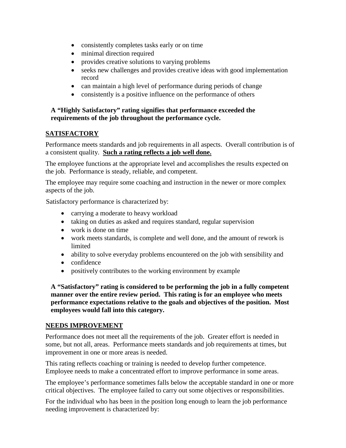- consistently completes tasks early or on time
- minimal direction required
- provides creative solutions to varying problems
- seeks new challenges and provides creative ideas with good implementation record
- can maintain a high level of performance during periods of change
- consistently is a positive influence on the performance of others

#### **A "Highly Satisfactory" rating signifies that performance exceeded the requirements of the job throughout the performance cycle.**

# **SATISFACTORY**

Performance meets standards and job requirements in all aspects. Overall contribution is of a consistent quality. **Such a rating reflects a job well done.**

The employee functions at the appropriate level and accomplishes the results expected on the job. Performance is steady, reliable, and competent.

The employee may require some coaching and instruction in the newer or more complex aspects of the job.

Satisfactory performance is characterized by:

- carrying a moderate to heavy workload
- taking on duties as asked and requires standard, regular supervision
- work is done on time
- work meets standards, is complete and well done, and the amount of rework is limited
- ability to solve everyday problems encountered on the job with sensibility and
- confidence
- positively contributes to the working environment by example

**A "Satisfactory" rating is considered to be performing the job in a fully competent manner over the entire review period. This rating is for an employee who meets performance expectations relative to the goals and objectives of the position. Most employees would fall into this category.**

#### **NEEDS IMPROVEMENT**

Performance does not meet all the requirements of the job. Greater effort is needed in some, but not all, areas. Performance meets standards and job requirements at times, but improvement in one or more areas is needed.

This rating reflects coaching or training is needed to develop further competence. Employee needs to make a concentrated effort to improve performance in some areas.

The employee's performance sometimes falls below the acceptable standard in one or more critical objectives. The employee failed to carry out some objectives or responsibilities.

For the individual who has been in the position long enough to learn the job performance needing improvement is characterized by: